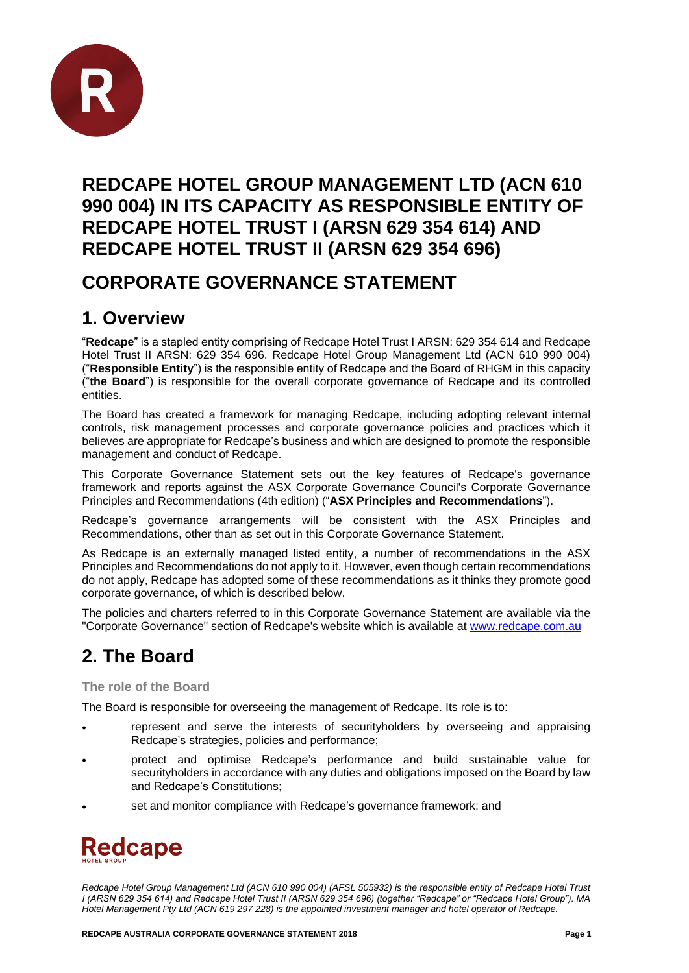

## **REDCAPE HOTEL GROUP MANAGEMENT LTD (ACN 610 990 004) IN ITS CAPACITY AS RESPONSIBLE ENTITY OF REDCAPE HOTEL TRUST I (ARSN 629 354 614) AND REDCAPE HOTEL TRUST II (ARSN 629 354 696)**

### **CORPORATE GOVERNANCE STATEMENT**

## **1. Overview**

"**Redcape**" is a stapled entity comprising of Redcape Hotel Trust I ARSN: 629 354 614 and Redcape Hotel Trust II ARSN: 629 354 696. Redcape Hotel Group Management Ltd (ACN 610 990 004) ("**Responsible Entity**") is the responsible entity of Redcape and the Board of RHGM in this capacity ("**the Board**") is responsible for the overall corporate governance of Redcape and its controlled entities.

The Board has created a framework for managing Redcape, including adopting relevant internal controls, risk management processes and corporate governance policies and practices which it believes are appropriate for Redcape's business and which are designed to promote the responsible management and conduct of Redcape.

This Corporate Governance Statement sets out the key features of Redcape's governance framework and reports against the ASX Corporate Governance Council's Corporate Governance Principles and Recommendations (4th edition) ("**ASX Principles and Recommendations**").

Redcape's governance arrangements will be consistent with the ASX Principles and Recommendations, other than as set out in this Corporate Governance Statement.

As Redcape is an externally managed listed entity, a number of recommendations in the ASX Principles and Recommendations do not apply to it. However, even though certain recommendations do not apply, Redcape has adopted some of these recommendations as it thinks they promote good corporate governance, of which is described below.

The policies and charters referred to in this Corporate Governance Statement are available via the "Corporate Governance" section of Redcape's website which is available at [www.redcape.com.au](http://www.redcape.com.au/)

# **2. The Board**

**The role of the Board**

The Board is responsible for overseeing the management of Redcape. Its role is to:

- represent and serve the interests of securityholders by overseeing and appraising Redcape's strategies, policies and performance;
- protect and optimise Redcape's performance and build sustainable value for securityholders in accordance with any duties and obligations imposed on the Board by law and Redcape's Constitutions;
- set and monitor compliance with Redcape's governance framework; and

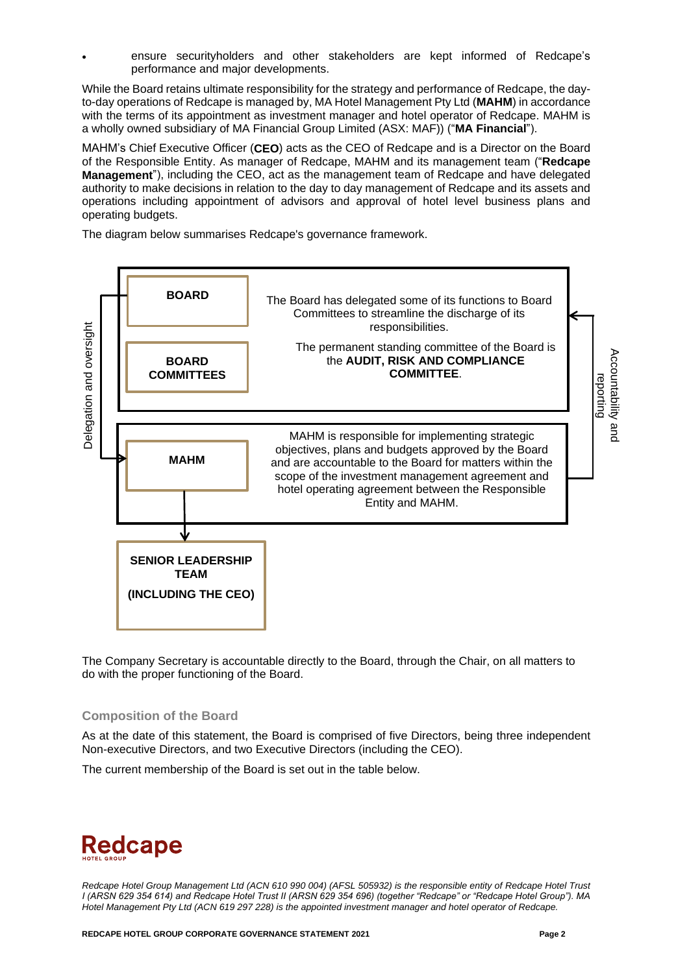• ensure securityholders and other stakeholders are kept informed of Redcape's performance and major developments.

While the Board retains ultimate responsibility for the strategy and performance of Redcape, the dayto-day operations of Redcape is managed by, MA Hotel Management Pty Ltd (**MAHM**) in accordance with the terms of its appointment as investment manager and hotel operator of Redcape. MAHM is a wholly owned subsidiary of MA Financial Group Limited (ASX: MAF)) ("**MA Financial**").

MAHM's Chief Executive Officer (**CEO**) acts as the CEO of Redcape and is a Director on the Board of the Responsible Entity. As manager of Redcape, MAHM and its management team ("**Redcape Management**"), including the CEO, act as the management team of Redcape and have delegated authority to make decisions in relation to the day to day management of Redcape and its assets and operations including appointment of advisors and approval of hotel level business plans and operating budgets.

The diagram below summarises Redcape's governance framework.



The Company Secretary is accountable directly to the Board, through the Chair, on all matters to do with the proper functioning of the Board.

#### **Composition of the Board**

As at the date of this statement, the Board is comprised of five Directors, being three independent Non-executive Directors, and two Executive Directors (including the CEO).

The current membership of the Board is set out in the table below.

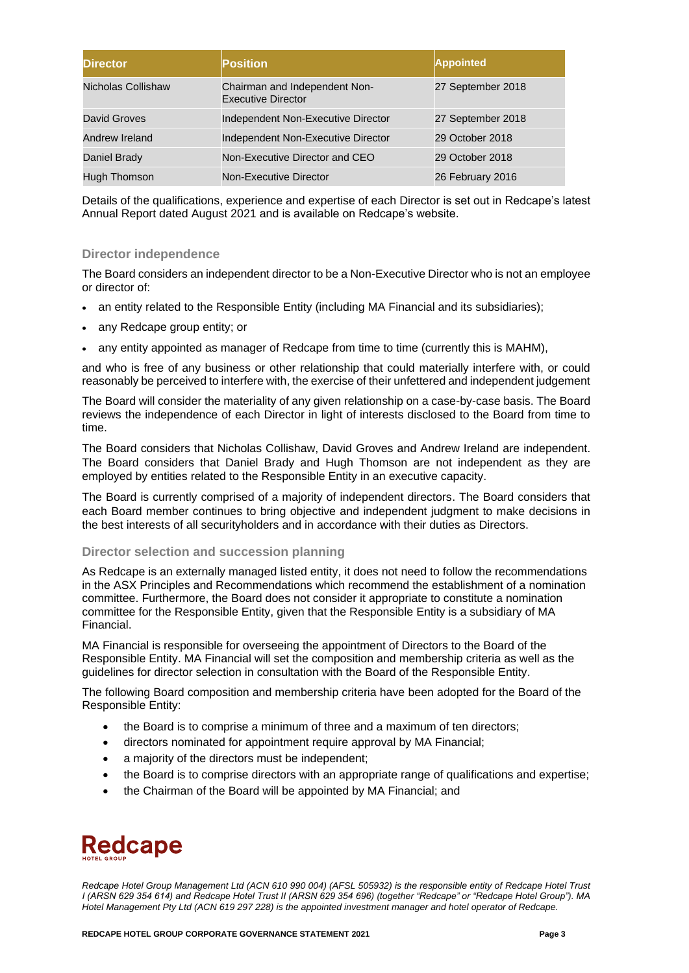| <b>Director</b>    | <b>Position</b>                                            | <b>Appointed</b>  |
|--------------------|------------------------------------------------------------|-------------------|
| Nicholas Collishaw | Chairman and Independent Non-<br><b>Executive Director</b> | 27 September 2018 |
| David Groves       | Independent Non-Executive Director                         | 27 September 2018 |
| Andrew Ireland     | Independent Non-Executive Director                         | 29 October 2018   |
| Daniel Brady       | Non-Executive Director and CEO                             | 29 October 2018   |
| Hugh Thomson       | Non-Executive Director                                     | 26 February 2016  |

Details of the qualifications, experience and expertise of each Director is set out in Redcape's latest Annual Report dated August 2021 and is available on Redcape's website.

#### **Director independence**

The Board considers an independent director to be a Non-Executive Director who is not an employee or director of:

- an entity related to the Responsible Entity (including MA Financial and its subsidiaries);
- any Redcape group entity; or
- any entity appointed as manager of Redcape from time to time (currently this is MAHM),

and who is free of any business or other relationship that could materially interfere with, or could reasonably be perceived to interfere with, the exercise of their unfettered and independent judgement

The Board will consider the materiality of any given relationship on a case-by-case basis. The Board reviews the independence of each Director in light of interests disclosed to the Board from time to time.

The Board considers that Nicholas Collishaw, David Groves and Andrew Ireland are independent. The Board considers that Daniel Brady and Hugh Thomson are not independent as they are employed by entities related to the Responsible Entity in an executive capacity.

The Board is currently comprised of a majority of independent directors. The Board considers that each Board member continues to bring objective and independent judgment to make decisions in the best interests of all securityholders and in accordance with their duties as Directors.

#### **Director selection and succession planning**

As Redcape is an externally managed listed entity, it does not need to follow the recommendations in the ASX Principles and Recommendations which recommend the establishment of a nomination committee. Furthermore, the Board does not consider it appropriate to constitute a nomination committee for the Responsible Entity, given that the Responsible Entity is a subsidiary of MA Financial.

MA Financial is responsible for overseeing the appointment of Directors to the Board of the Responsible Entity. MA Financial will set the composition and membership criteria as well as the guidelines for director selection in consultation with the Board of the Responsible Entity.

The following Board composition and membership criteria have been adopted for the Board of the Responsible Entity:

- the Board is to comprise a minimum of three and a maximum of ten directors;
- directors nominated for appointment require approval by MA Financial;
- a majority of the directors must be independent;
- the Board is to comprise directors with an appropriate range of qualifications and expertise;
- the Chairman of the Board will be appointed by MA Financial; and

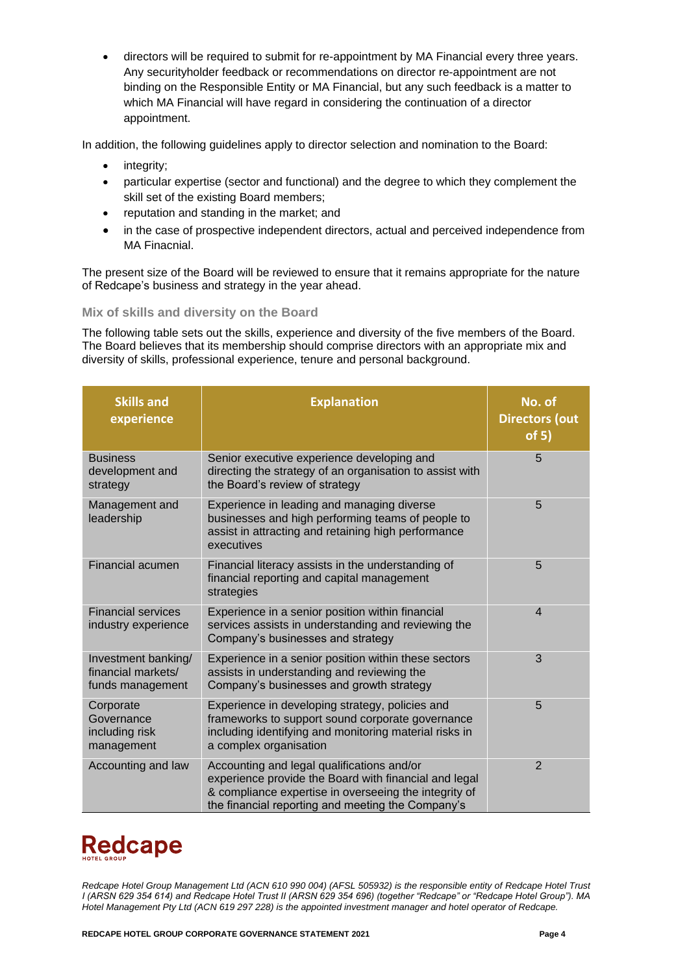• directors will be required to submit for re-appointment by MA Financial every three years. Any securityholder feedback or recommendations on director re-appointment are not binding on the Responsible Entity or MA Financial, but any such feedback is a matter to which MA Financial will have regard in considering the continuation of a director appointment.

In addition, the following guidelines apply to director selection and nomination to the Board:

- integrity;
- particular expertise (sector and functional) and the degree to which they complement the skill set of the existing Board members;
- reputation and standing in the market; and
- in the case of prospective independent directors, actual and perceived independence from MA Finacnial.

The present size of the Board will be reviewed to ensure that it remains appropriate for the nature of Redcape's business and strategy in the year ahead.

#### **Mix of skills and diversity on the Board**

The following table sets out the skills, experience and diversity of the five members of the Board. The Board believes that its membership should comprise directors with an appropriate mix and diversity of skills, professional experience, tenure and personal background.

| <b>Skills and</b><br>experience                               | <b>Explanation</b>                                                                                                                                                                                                | No. of<br><b>Directors (out</b><br>of 5) |
|---------------------------------------------------------------|-------------------------------------------------------------------------------------------------------------------------------------------------------------------------------------------------------------------|------------------------------------------|
| <b>Business</b><br>development and<br>strategy                | Senior executive experience developing and<br>directing the strategy of an organisation to assist with<br>the Board's review of strategy                                                                          | 5                                        |
| Management and<br>leadership                                  | Experience in leading and managing diverse<br>businesses and high performing teams of people to<br>assist in attracting and retaining high performance<br>executives                                              | 5                                        |
| Financial acumen                                              | Financial literacy assists in the understanding of<br>financial reporting and capital management<br>strategies                                                                                                    | 5                                        |
| <b>Financial services</b><br>industry experience              | Experience in a senior position within financial<br>services assists in understanding and reviewing the<br>Company's businesses and strategy                                                                      | $\overline{4}$                           |
| Investment banking/<br>financial markets/<br>funds management | Experience in a senior position within these sectors<br>assists in understanding and reviewing the<br>Company's businesses and growth strategy                                                                    | 3                                        |
| Corporate<br>Governance<br>including risk<br>management       | Experience in developing strategy, policies and<br>frameworks to support sound corporate governance<br>including identifying and monitoring material risks in<br>a complex organisation                           | 5                                        |
| Accounting and law                                            | Accounting and legal qualifications and/or<br>experience provide the Board with financial and legal<br>& compliance expertise in overseeing the integrity of<br>the financial reporting and meeting the Company's | $\overline{2}$                           |

# **Redcape**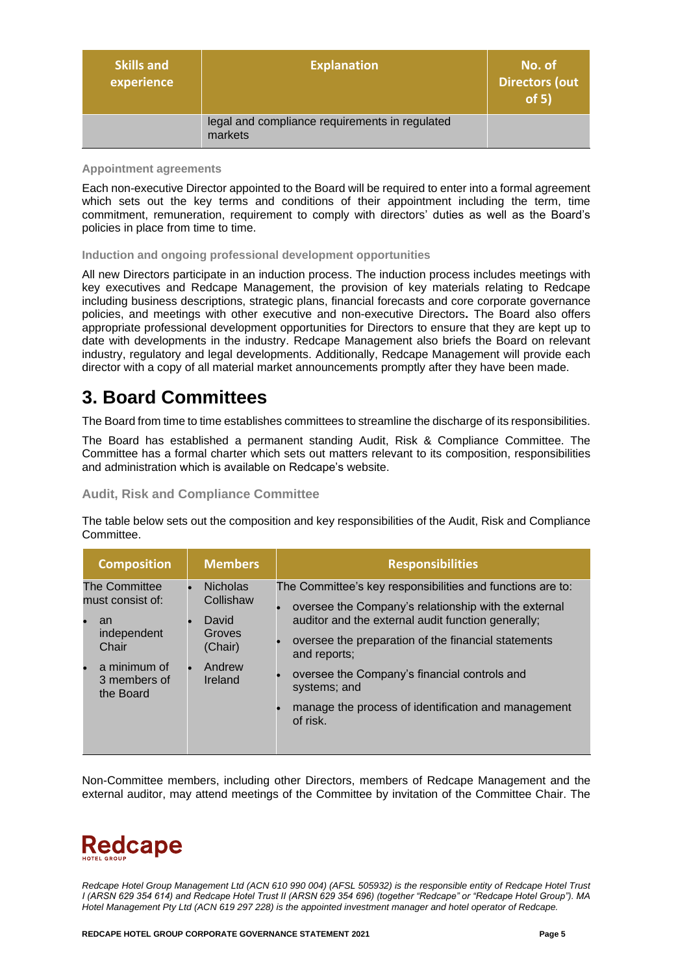| <b>Skills and</b><br>experience | <b>Explanation</b>                                        | No. of<br><b>Directors (out</b><br>of 5) |
|---------------------------------|-----------------------------------------------------------|------------------------------------------|
|                                 | legal and compliance requirements in regulated<br>markets |                                          |

#### **Appointment agreements**

Each non-executive Director appointed to the Board will be required to enter into a formal agreement which sets out the key terms and conditions of their appointment including the term, time commitment, remuneration, requirement to comply with directors' duties as well as the Board's policies in place from time to time.

#### **Induction and ongoing professional development opportunities**

All new Directors participate in an induction process. The induction process includes meetings with key executives and Redcape Management, the provision of key materials relating to Redcape including business descriptions, strategic plans, financial forecasts and core corporate governance policies, and meetings with other executive and non-executive Directors**.** The Board also offers appropriate professional development opportunities for Directors to ensure that they are kept up to date with developments in the industry. Redcape Management also briefs the Board on relevant industry, regulatory and legal developments. Additionally, Redcape Management will provide each director with a copy of all material market announcements promptly after they have been made.

### **3. Board Committees**

The Board from time to time establishes committees to streamline the discharge of its responsibilities.

The Board has established a permanent standing Audit, Risk & Compliance Committee. The Committee has a formal charter which sets out matters relevant to its composition, responsibilities and administration which is available on Redcape's website.

**Audit, Risk and Compliance Committee**

The table below sets out the composition and key responsibilities of the Audit, Risk and Compliance Committee.

| <b>Composition</b>                        | <b>Members</b>                        | <b>Responsibilities</b>                                                                                                                                                  |
|-------------------------------------------|---------------------------------------|--------------------------------------------------------------------------------------------------------------------------------------------------------------------------|
| The Committee<br>must consist of:<br>an   | <b>Nicholas</b><br>Collishaw<br>David | The Committee's key responsibilities and functions are to:<br>oversee the Company's relationship with the external<br>auditor and the external audit function generally; |
| independent<br>Chair                      | Groves<br>(Chair)                     | oversee the preparation of the financial statements<br>and reports;                                                                                                      |
| a minimum of<br>3 members of<br>the Board | Andrew<br>Ireland                     | oversee the Company's financial controls and<br>systems; and                                                                                                             |
|                                           |                                       | manage the process of identification and management<br>of risk.                                                                                                          |

Non-Committee members, including other Directors, members of Redcape Management and the external auditor, may attend meetings of the Committee by invitation of the Committee Chair. The

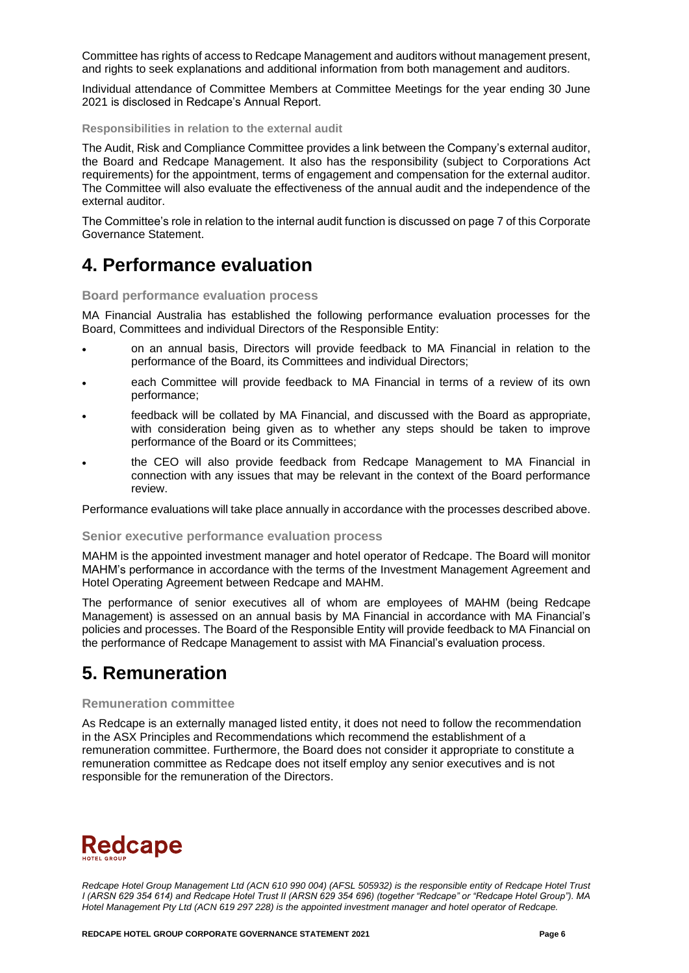Committee has rights of access to Redcape Management and auditors without management present, and rights to seek explanations and additional information from both management and auditors.

Individual attendance of Committee Members at Committee Meetings for the year ending 30 June 2021 is disclosed in Redcape's Annual Report.

**Responsibilities in relation to the external audit**

The Audit, Risk and Compliance Committee provides a link between the Company's external auditor, the Board and Redcape Management. It also has the responsibility (subject to Corporations Act requirements) for the appointment, terms of engagement and compensation for the external auditor. The Committee will also evaluate the effectiveness of the annual audit and the independence of the external auditor.

The Committee's role in relation to the internal audit function is discussed on page 7 of this Corporate Governance Statement.

### **4. Performance evaluation**

**Board performance evaluation process** 

MA Financial Australia has established the following performance evaluation processes for the Board, Committees and individual Directors of the Responsible Entity:

- on an annual basis, Directors will provide feedback to MA Financial in relation to the performance of the Board, its Committees and individual Directors;
- each Committee will provide feedback to MA Financial in terms of a review of its own performance;
- feedback will be collated by MA Financial, and discussed with the Board as appropriate, with consideration being given as to whether any steps should be taken to improve performance of the Board or its Committees;
- the CEO will also provide feedback from Redcape Management to MA Financial in connection with any issues that may be relevant in the context of the Board performance review.

Performance evaluations will take place annually in accordance with the processes described above.

#### **Senior executive performance evaluation process**

MAHM is the appointed investment manager and hotel operator of Redcape. The Board will monitor MAHM's performance in accordance with the terms of the Investment Management Agreement and Hotel Operating Agreement between Redcape and MAHM.

The performance of senior executives all of whom are employees of MAHM (being Redcape Management) is assessed on an annual basis by MA Financial in accordance with MA Financial's policies and processes. The Board of the Responsible Entity will provide feedback to MA Financial on the performance of Redcape Management to assist with MA Financial's evaluation process.

### **5. Remuneration**

#### **Remuneration committee**

As Redcape is an externally managed listed entity, it does not need to follow the recommendation in the ASX Principles and Recommendations which recommend the establishment of a remuneration committee. Furthermore, the Board does not consider it appropriate to constitute a remuneration committee as Redcape does not itself employ any senior executives and is not responsible for the remuneration of the Directors.

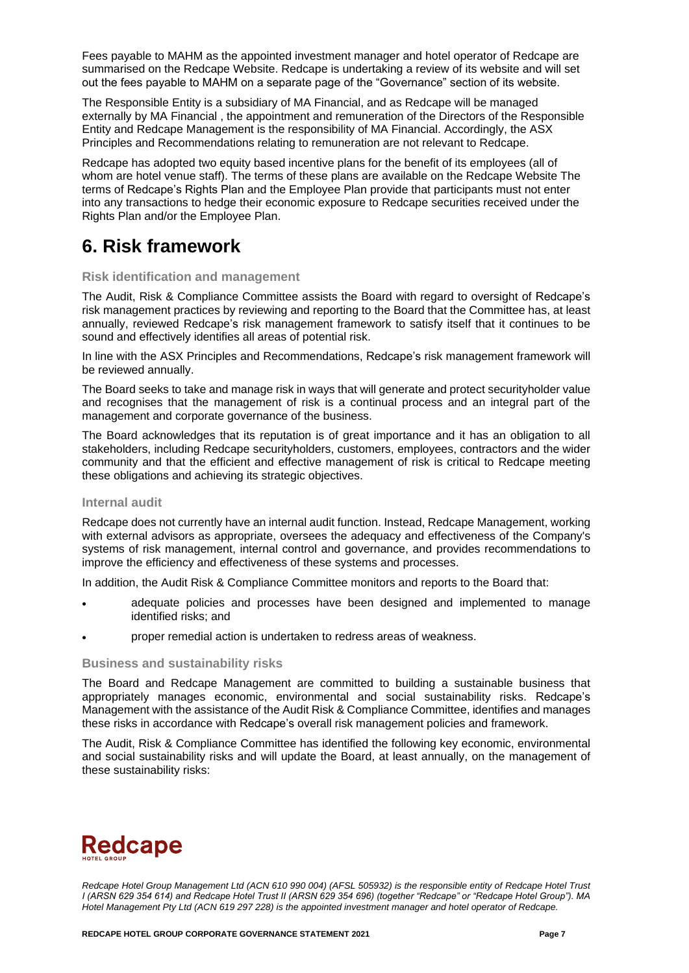Fees payable to MAHM as the appointed investment manager and hotel operator of Redcape are summarised on the Redcape Website. Redcape is undertaking a review of its website and will set out the fees payable to MAHM on a separate page of the "Governance" section of its website.

The Responsible Entity is a subsidiary of MA Financial, and as Redcape will be managed externally by MA Financial , the appointment and remuneration of the Directors of the Responsible Entity and Redcape Management is the responsibility of MA Financial. Accordingly, the ASX Principles and Recommendations relating to remuneration are not relevant to Redcape.

Redcape has adopted two equity based incentive plans for the benefit of its employees (all of whom are hotel venue staff). The terms of these plans are available on the Redcape Website The terms of Redcape's Rights Plan and the Employee Plan provide that participants must not enter into any transactions to hedge their economic exposure to Redcape securities received under the Rights Plan and/or the Employee Plan.

### **6. Risk framework**

#### **Risk identification and management**

The Audit, Risk & Compliance Committee assists the Board with regard to oversight of Redcape's risk management practices by reviewing and reporting to the Board that the Committee has, at least annually, reviewed Redcape's risk management framework to satisfy itself that it continues to be sound and effectively identifies all areas of potential risk.

In line with the ASX Principles and Recommendations, Redcape's risk management framework will be reviewed annually.

The Board seeks to take and manage risk in ways that will generate and protect securityholder value and recognises that the management of risk is a continual process and an integral part of the management and corporate governance of the business.

The Board acknowledges that its reputation is of great importance and it has an obligation to all stakeholders, including Redcape securityholders, customers, employees, contractors and the wider community and that the efficient and effective management of risk is critical to Redcape meeting these obligations and achieving its strategic objectives.

#### **Internal audit**

Redcape does not currently have an internal audit function. Instead, Redcape Management, working with external advisors as appropriate, oversees the adequacy and effectiveness of the Company's systems of risk management, internal control and governance, and provides recommendations to improve the efficiency and effectiveness of these systems and processes.

In addition, the Audit Risk & Compliance Committee monitors and reports to the Board that:

- adequate policies and processes have been designed and implemented to manage identified risks; and
- proper remedial action is undertaken to redress areas of weakness.

#### **Business and sustainability risks**

The Board and Redcape Management are committed to building a sustainable business that appropriately manages economic, environmental and social sustainability risks. Redcape's Management with the assistance of the Audit Risk & Compliance Committee, identifies and manages these risks in accordance with Redcape's overall risk management policies and framework.

The Audit, Risk & Compliance Committee has identified the following key economic, environmental and social sustainability risks and will update the Board, at least annually, on the management of these sustainability risks:

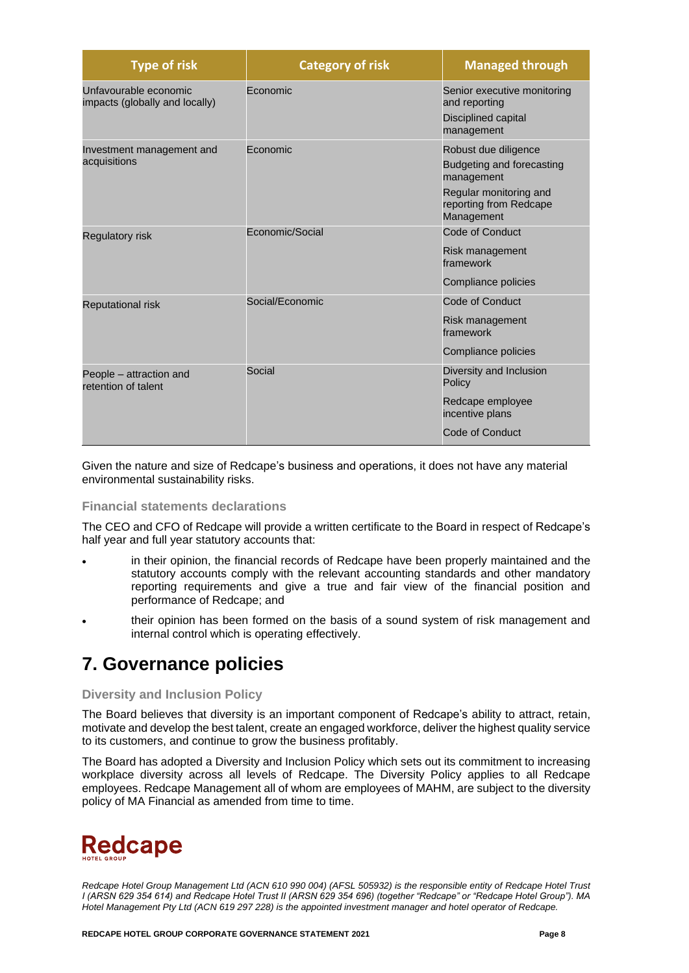| <b>Type of risk</b>                                     | <b>Category of risk</b> | <b>Managed through</b>                                                                                                            |
|---------------------------------------------------------|-------------------------|-----------------------------------------------------------------------------------------------------------------------------------|
| Unfavourable economic<br>impacts (globally and locally) | Economic                | Senior executive monitoring<br>and reporting<br>Disciplined capital<br>management                                                 |
| Investment management and<br>acquisitions               | Economic                | Robust due diligence<br>Budgeting and forecasting<br>management<br>Regular monitoring and<br>reporting from Redcape<br>Management |
| <b>Regulatory risk</b>                                  | Economic/Social         | Code of Conduct<br>Risk management<br>framework<br>Compliance policies                                                            |
| <b>Reputational risk</b>                                | Social/Economic         | Code of Conduct<br>Risk management<br>framework<br>Compliance policies                                                            |
| People - attraction and<br>retention of talent          | Social                  | Diversity and Inclusion<br>Policy<br>Redcape employee<br>incentive plans<br>Code of Conduct                                       |

Given the nature and size of Redcape's business and operations, it does not have any material environmental sustainability risks.

#### **Financial statements declarations**

The CEO and CFO of Redcape will provide a written certificate to the Board in respect of Redcape's half year and full year statutory accounts that:

- in their opinion, the financial records of Redcape have been properly maintained and the statutory accounts comply with the relevant accounting standards and other mandatory reporting requirements and give a true and fair view of the financial position and performance of Redcape; and
- their opinion has been formed on the basis of a sound system of risk management and internal control which is operating effectively.

### **7. Governance policies**

#### **Diversity and Inclusion Policy**

The Board believes that diversity is an important component of Redcape's ability to attract, retain, motivate and develop the best talent, create an engaged workforce, deliver the highest quality service to its customers, and continue to grow the business profitably.

The Board has adopted a Diversity and Inclusion Policy which sets out its commitment to increasing workplace diversity across all levels of Redcape. The Diversity Policy applies to all Redcape employees. Redcape Management all of whom are employees of MAHM, are subject to the diversity policy of MA Financial as amended from time to time.

# **Redcape**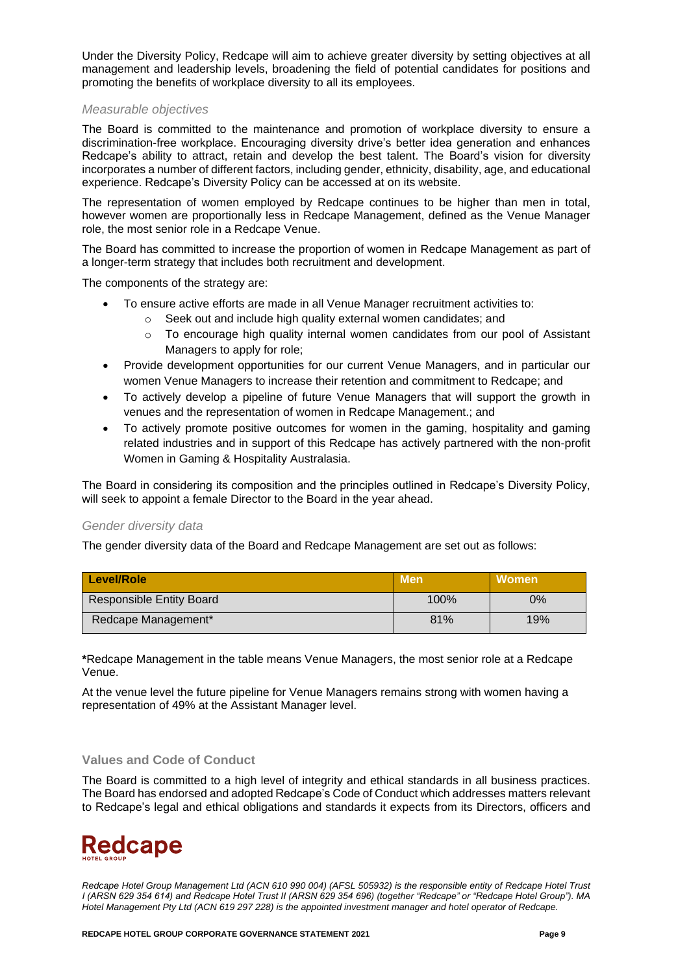Under the Diversity Policy, Redcape will aim to achieve greater diversity by setting objectives at all management and leadership levels, broadening the field of potential candidates for positions and promoting the benefits of workplace diversity to all its employees.

#### *Measurable objectives*

The Board is committed to the maintenance and promotion of workplace diversity to ensure a discrimination-free workplace. Encouraging diversity drive's better idea generation and enhances Redcape's ability to attract, retain and develop the best talent. The Board's vision for diversity incorporates a number of different factors, including gender, ethnicity, disability, age, and educational experience. Redcape's Diversity Policy can be accessed at on its website.

The representation of women employed by Redcape continues to be higher than men in total, however women are proportionally less in Redcape Management, defined as the Venue Manager role, the most senior role in a Redcape Venue.

The Board has committed to increase the proportion of women in Redcape Management as part of a longer-term strategy that includes both recruitment and development.

The components of the strategy are:

- To ensure active efforts are made in all Venue Manager recruitment activities to:
	- o Seek out and include high quality external women candidates; and
	- o To encourage high quality internal women candidates from our pool of Assistant Managers to apply for role;
- Provide development opportunities for our current Venue Managers, and in particular our women Venue Managers to increase their retention and commitment to Redcape; and
- To actively develop a pipeline of future Venue Managers that will support the growth in venues and the representation of women in Redcape Management.; and
- To actively promote positive outcomes for women in the gaming, hospitality and gaming related industries and in support of this Redcape has actively partnered with the non-profit Women in Gaming & Hospitality Australasia.

The Board in considering its composition and the principles outlined in Redcape's Diversity Policy, will seek to appoint a female Director to the Board in the year ahead.

#### *Gender diversity data*

The gender diversity data of the Board and Redcape Management are set out as follows:

| Level/Role                      | <b>Men</b> | <b>Women</b> |
|---------------------------------|------------|--------------|
| <b>Responsible Entity Board</b> | 100%       | 0%           |
| Redcape Management*             | 81%        | 19%          |

**\***Redcape Management in the table means Venue Managers, the most senior role at a Redcape Venue.

At the venue level the future pipeline for Venue Managers remains strong with women having a representation of 49% at the Assistant Manager level.

#### **Values and Code of Conduct**

The Board is committed to a high level of integrity and ethical standards in all business practices. The Board has endorsed and adopted Redcape's Code of Conduct which addresses matters relevant to Redcape's legal and ethical obligations and standards it expects from its Directors, officers and